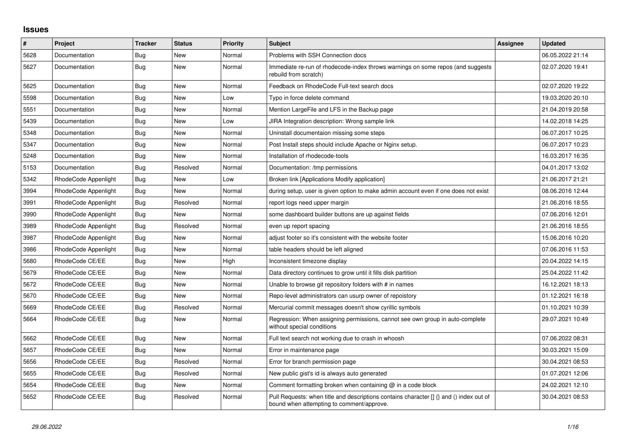## **Issues**

| $\pmb{\#}$ | <b>Project</b>       | <b>Tracker</b> | <b>Status</b> | <b>Priority</b> | <b>Subject</b>                                                                                                                       | <b>Assignee</b> | <b>Updated</b>   |
|------------|----------------------|----------------|---------------|-----------------|--------------------------------------------------------------------------------------------------------------------------------------|-----------------|------------------|
| 5628       | Documentation        | Bug            | New           | Normal          | Problems with SSH Connection docs                                                                                                    |                 | 06.05.2022 21:14 |
| 5627       | Documentation        | Bug            | <b>New</b>    | Normal          | Immediate re-run of rhodecode-index throws warnings on some repos (and suggests<br>rebuild from scratch)                             |                 | 02.07.2020 19:41 |
| 5625       | Documentation        | <b>Bug</b>     | <b>New</b>    | Normal          | Feedback on RhodeCode Full-text search docs                                                                                          |                 | 02.07.2020 19:22 |
| 5598       | Documentation        | Bug            | New           | Low             | Typo in force delete command                                                                                                         |                 | 19.03.2020 20:10 |
| 5551       | Documentation        | <b>Bug</b>     | <b>New</b>    | Normal          | Mention LargeFile and LFS in the Backup page                                                                                         |                 | 21.04.2019 20:58 |
| 5439       | Documentation        | Bug            | <b>New</b>    | Low             | JIRA Integration description: Wrong sample link                                                                                      |                 | 14.02.2018 14:25 |
| 5348       | Documentation        | Bug            | New           | Normal          | Uninstall documentaion missing some steps                                                                                            |                 | 06.07.2017 10:25 |
| 5347       | Documentation        | Bug            | New           | Normal          | Post Install steps should include Apache or Nginx setup.                                                                             |                 | 06.07.2017 10:23 |
| 5248       | Documentation        | Bug            | <b>New</b>    | Normal          | Installation of rhodecode-tools                                                                                                      |                 | 16.03.2017 16:35 |
| 5153       | Documentation        | Bug            | Resolved      | Normal          | Documentation: /tmp permissions                                                                                                      |                 | 04.01.2017 13:02 |
| 5342       | RhodeCode Appenlight | Bug            | New           | Low             | Broken link [Applications Modify application]                                                                                        |                 | 21.06.2017 21:21 |
| 3994       | RhodeCode Appenlight | Bug            | <b>New</b>    | Normal          | during setup, user is given option to make admin account even if one does not exist                                                  |                 | 08.06.2016 12:44 |
| 3991       | RhodeCode Appenlight | Bug            | Resolved      | Normal          | report logs need upper margin                                                                                                        |                 | 21.06.2016 18:55 |
| 3990       | RhodeCode Appenlight | <b>Bug</b>     | New           | Normal          | some dashboard builder buttons are up against fields                                                                                 |                 | 07.06.2016 12:01 |
| 3989       | RhodeCode Appenlight | <b>Bug</b>     | Resolved      | Normal          | even up report spacing                                                                                                               |                 | 21.06.2016 18:55 |
| 3987       | RhodeCode Appenlight | Bug            | <b>New</b>    | Normal          | adjust footer so it's consistent with the website footer                                                                             |                 | 15.06.2016 10:20 |
| 3986       | RhodeCode Appenlight | <b>Bug</b>     | <b>New</b>    | Normal          | table headers should be left aligned                                                                                                 |                 | 07.06.2016 11:53 |
| 5680       | RhodeCode CE/EE      | Bug            | New           | High            | Inconsistent timezone display                                                                                                        |                 | 20.04.2022 14:15 |
| 5679       | RhodeCode CE/EE      | Bug            | <b>New</b>    | Normal          | Data directory continues to grow until it fills disk partition                                                                       |                 | 25.04.2022 11:42 |
| 5672       | RhodeCode CE/EE      | Bug            | <b>New</b>    | Normal          | Unable to browse git repository folders with # in names                                                                              |                 | 16.12.2021 18:13 |
| 5670       | RhodeCode CE/EE      | Bug            | New           | Normal          | Repo-level administrators can usurp owner of repoistory                                                                              |                 | 01.12.2021 16:18 |
| 5669       | RhodeCode CE/EE      | Bug            | Resolved      | Normal          | Mercurial commit messages doesn't show cyrillic symbols                                                                              |                 | 01.10.2021 10:39 |
| 5664       | RhodeCode CE/EE      | Bug            | <b>New</b>    | Normal          | Regression: When assigning permissions, cannot see own group in auto-complete<br>without special conditions                          |                 | 29.07.2021 10:49 |
| 5662       | RhodeCode CE/EE      | <b>Bug</b>     | <b>New</b>    | Normal          | Full text search not working due to crash in whoosh                                                                                  |                 | 07.06.2022 08:31 |
| 5657       | RhodeCode CE/EE      | Bug            | New           | Normal          | Error in maintenance page                                                                                                            |                 | 30.03.2021 15:09 |
| 5656       | RhodeCode CE/EE      | Bug            | Resolved      | Normal          | Error for branch permission page                                                                                                     |                 | 30.04.2021 08:53 |
| 5655       | RhodeCode CE/EE      | Bug            | Resolved      | Normal          | New public gist's id is always auto generated                                                                                        |                 | 01.07.2021 12:06 |
| 5654       | RhodeCode CE/EE      | Bug            | New           | Normal          | Comment formatting broken when containing $@$ in a code block                                                                        |                 | 24.02.2021 12:10 |
| 5652       | RhodeCode CE/EE      | Bug            | Resolved      | Normal          | Pull Requests: when title and descriptions contains character [] {} and () index out of<br>bound when attempting to comment/approve. |                 | 30.04.2021 08:53 |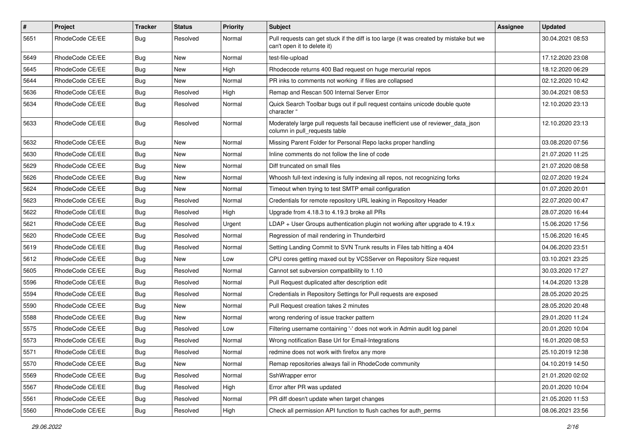| $\pmb{\#}$ | <b>Project</b>  | <b>Tracker</b> | <b>Status</b> | <b>Priority</b> | <b>Subject</b>                                                                                                        | <b>Assignee</b> | <b>Updated</b>   |
|------------|-----------------|----------------|---------------|-----------------|-----------------------------------------------------------------------------------------------------------------------|-----------------|------------------|
| 5651       | RhodeCode CE/EE | Bug            | Resolved      | Normal          | Pull requests can get stuck if the diff is too large (it was created by mistake but we<br>can't open it to delete it) |                 | 30.04.2021 08:53 |
| 5649       | RhodeCode CE/EE | Bug            | New           | Normal          | test-file-upload                                                                                                      |                 | 17.12.2020 23:08 |
| 5645       | RhodeCode CE/EE | <b>Bug</b>     | New           | High            | Rhodecode returns 400 Bad request on huge mercurial repos                                                             |                 | 18.12.2020 06:29 |
| 5644       | RhodeCode CE/EE | Bug            | New           | Normal          | PR inks to comments not working if files are collapsed                                                                |                 | 02.12.2020 10:42 |
| 5636       | RhodeCode CE/EE | <b>Bug</b>     | Resolved      | High            | Remap and Rescan 500 Internal Server Error                                                                            |                 | 30.04.2021 08:53 |
| 5634       | RhodeCode CE/EE | Bug            | Resolved      | Normal          | Quick Search Toolbar bugs out if pull request contains unicode double quote<br>character "                            |                 | 12.10.2020 23:13 |
| 5633       | RhodeCode CE/EE | Bug            | Resolved      | Normal          | Moderately large pull requests fail because inefficient use of reviewer_data_json<br>column in pull requests table    |                 | 12.10.2020 23:13 |
| 5632       | RhodeCode CE/EE | Bug            | New           | Normal          | Missing Parent Folder for Personal Repo lacks proper handling                                                         |                 | 03.08.2020 07:56 |
| 5630       | RhodeCode CE/EE | <b>Bug</b>     | New           | Normal          | Inline comments do not follow the line of code                                                                        |                 | 21.07.2020 11:25 |
| 5629       | RhodeCode CE/EE | Bug            | <b>New</b>    | Normal          | Diff truncated on small files                                                                                         |                 | 21.07.2020 08:58 |
| 5626       | RhodeCode CE/EE | Bug            | New           | Normal          | Whoosh full-text indexing is fully indexing all repos, not recognizing forks                                          |                 | 02.07.2020 19:24 |
| 5624       | RhodeCode CE/EE | <b>Bug</b>     | New           | Normal          | Timeout when trying to test SMTP email configuration                                                                  |                 | 01.07.2020 20:01 |
| 5623       | RhodeCode CE/EE | Bug            | Resolved      | Normal          | Credentials for remote repository URL leaking in Repository Header                                                    |                 | 22.07.2020 00:47 |
| 5622       | RhodeCode CE/EE | Bug            | Resolved      | High            | Upgrade from 4.18.3 to 4.19.3 broke all PRs                                                                           |                 | 28.07.2020 16:44 |
| 5621       | RhodeCode CE/EE | Bug            | Resolved      | Urgent          | $LDAP + User Groups authentication plugin not working after upgrade to 4.19.x$                                        |                 | 15.06.2020 17:56 |
| 5620       | RhodeCode CE/EE | Bug            | Resolved      | Normal          | Regression of mail rendering in Thunderbird                                                                           |                 | 15.06.2020 16:45 |
| 5619       | RhodeCode CE/EE | Bug            | Resolved      | Normal          | Setting Landing Commit to SVN Trunk results in Files tab hitting a 404                                                |                 | 04.06.2020 23:51 |
| 5612       | RhodeCode CE/EE | Bug            | New           | Low             | CPU cores getting maxed out by VCSServer on Repository Size request                                                   |                 | 03.10.2021 23:25 |
| 5605       | RhodeCode CE/EE | <b>Bug</b>     | Resolved      | Normal          | Cannot set subversion compatibility to 1.10                                                                           |                 | 30.03.2020 17:27 |
| 5596       | RhodeCode CE/EE | <b>Bug</b>     | Resolved      | Normal          | Pull Request duplicated after description edit                                                                        |                 | 14.04.2020 13:28 |
| 5594       | RhodeCode CE/EE | Bug            | Resolved      | Normal          | Credentials in Repository Settings for Pull requests are exposed                                                      |                 | 28.05.2020 20:25 |
| 5590       | RhodeCode CE/EE | <b>Bug</b>     | New           | Normal          | Pull Request creation takes 2 minutes                                                                                 |                 | 28.05.2020 20:48 |
| 5588       | RhodeCode CE/EE | Bug            | New           | Normal          | wrong rendering of issue tracker pattern                                                                              |                 | 29.01.2020 11:24 |
| 5575       | RhodeCode CE/EE | <b>Bug</b>     | Resolved      | Low             | Filtering username containing '-' does not work in Admin audit log panel                                              |                 | 20.01.2020 10:04 |
| 5573       | RhodeCode CE/EE | <b>Bug</b>     | Resolved      | Normal          | Wrong notification Base Url for Email-Integrations                                                                    |                 | 16.01.2020 08:53 |
| 5571       | RhodeCode CE/EE | Bug            | Resolved      | Normal          | redmine does not work with firefox any more                                                                           |                 | 25.10.2019 12:38 |
| 5570       | RhodeCode CE/EE | Bug            | New           | Normal          | Remap repositories always fail in RhodeCode community                                                                 |                 | 04.10.2019 14:50 |
| 5569       | RhodeCode CE/EE | Bug            | Resolved      | Normal          | SshWrapper error                                                                                                      |                 | 21.01.2020 02:02 |
| 5567       | RhodeCode CE/EE | <b>Bug</b>     | Resolved      | High            | Error after PR was updated                                                                                            |                 | 20.01.2020 10:04 |
| 5561       | RhodeCode CE/EE | Bug            | Resolved      | Normal          | PR diff doesn't update when target changes                                                                            |                 | 21.05.2020 11:53 |
| 5560       | RhodeCode CE/EE | <b>Bug</b>     | Resolved      | High            | Check all permission API function to flush caches for auth perms                                                      |                 | 08.06.2021 23:56 |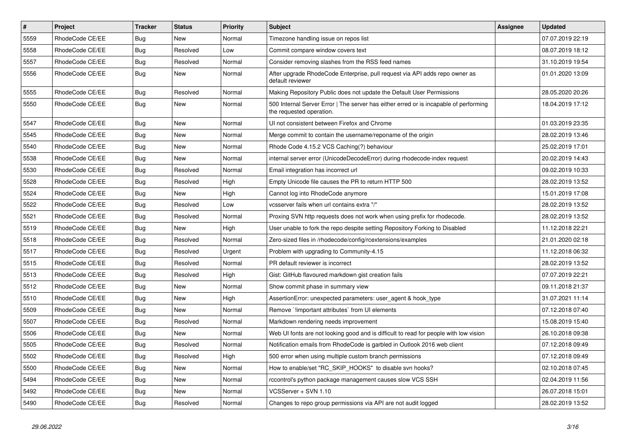| $\pmb{\#}$ | Project         | <b>Tracker</b> | <b>Status</b> | <b>Priority</b> | <b>Subject</b>                                                                                                    | Assignee | <b>Updated</b>   |
|------------|-----------------|----------------|---------------|-----------------|-------------------------------------------------------------------------------------------------------------------|----------|------------------|
| 5559       | RhodeCode CE/EE | Bug            | New           | Normal          | Timezone handling issue on repos list                                                                             |          | 07.07.2019 22:19 |
| 5558       | RhodeCode CE/EE | Bug            | Resolved      | Low             | Commit compare window covers text                                                                                 |          | 08.07.2019 18:12 |
| 5557       | RhodeCode CE/EE | Bug            | Resolved      | Normal          | Consider removing slashes from the RSS feed names                                                                 |          | 31.10.2019 19:54 |
| 5556       | RhodeCode CE/EE | Bug            | <b>New</b>    | Normal          | After upgrade RhodeCode Enterprise, pull request via API adds repo owner as<br>default reviewer                   |          | 01.01.2020 13:09 |
| 5555       | RhodeCode CE/EE | Bug            | Resolved      | Normal          | Making Repository Public does not update the Default User Permissions                                             |          | 28.05.2020 20:26 |
| 5550       | RhodeCode CE/EE | Bug            | New           | Normal          | 500 Internal Server Error   The server has either erred or is incapable of performing<br>the requested operation. |          | 18.04.2019 17:12 |
| 5547       | RhodeCode CE/EE | Bug            | <b>New</b>    | Normal          | UI not consistent between Firefox and Chrome                                                                      |          | 01.03.2019 23:35 |
| 5545       | RhodeCode CE/EE | Bug            | New           | Normal          | Merge commit to contain the username/reponame of the origin                                                       |          | 28.02.2019 13:46 |
| 5540       | RhodeCode CE/EE | <b>Bug</b>     | New           | Normal          | Rhode Code 4.15.2 VCS Caching(?) behaviour                                                                        |          | 25.02.2019 17:01 |
| 5538       | RhodeCode CE/EE | Bug            | <b>New</b>    | Normal          | internal server error (UnicodeDecodeError) during rhodecode-index request                                         |          | 20.02.2019 14:43 |
| 5530       | RhodeCode CE/EE | Bug            | Resolved      | Normal          | Email integration has incorrect url                                                                               |          | 09.02.2019 10:33 |
| 5528       | RhodeCode CE/EE | Bug            | Resolved      | High            | Empty Unicode file causes the PR to return HTTP 500                                                               |          | 28.02.2019 13:52 |
| 5524       | RhodeCode CE/EE | Bug            | <b>New</b>    | High            | Cannot log into RhodeCode anymore                                                                                 |          | 15.01.2019 17:08 |
| 5522       | RhodeCode CE/EE | <b>Bug</b>     | Resolved      | Low             | vcsserver fails when url contains extra "/"                                                                       |          | 28.02.2019 13:52 |
| 5521       | RhodeCode CE/EE | <b>Bug</b>     | Resolved      | Normal          | Proxing SVN http requests does not work when using prefix for rhodecode.                                          |          | 28.02.2019 13:52 |
| 5519       | RhodeCode CE/EE | Bug            | New           | High            | User unable to fork the repo despite setting Repository Forking to Disabled                                       |          | 11.12.2018 22:21 |
| 5518       | RhodeCode CE/EE | Bug            | Resolved      | Normal          | Zero-sized files in /rhodecode/config/rcextensions/examples                                                       |          | 21.01.2020 02:18 |
| 5517       | RhodeCode CE/EE | Bug            | Resolved      | Urgent          | Problem with upgrading to Community-4.15                                                                          |          | 11.12.2018 06:32 |
| 5515       | RhodeCode CE/EE | Bug            | Resolved      | Normal          | PR default reviewer is incorrect                                                                                  |          | 28.02.2019 13:52 |
| 5513       | RhodeCode CE/EE | Bug            | Resolved      | High            | Gist: GitHub flavoured markdown gist creation fails                                                               |          | 07.07.2019 22:21 |
| 5512       | RhodeCode CE/EE | Bug            | <b>New</b>    | Normal          | Show commit phase in summary view                                                                                 |          | 09.11.2018 21:37 |
| 5510       | RhodeCode CE/EE | Bug            | <b>New</b>    | High            | AssertionError: unexpected parameters: user_agent & hook_type                                                     |          | 31.07.2021 11:14 |
| 5509       | RhodeCode CE/EE | <b>Bug</b>     | <b>New</b>    | Normal          | Remove `!important attributes` from UI elements                                                                   |          | 07.12.2018 07:40 |
| 5507       | RhodeCode CE/EE | Bug            | Resolved      | Normal          | Markdown rendering needs improvement                                                                              |          | 15.08.2019 15:40 |
| 5506       | RhodeCode CE/EE | Bug            | New           | Normal          | Web UI fonts are not looking good and is difficult to read for people with low vision                             |          | 26.10.2018 09:38 |
| 5505       | RhodeCode CE/EE | Bug            | Resolved      | Normal          | Notification emails from RhodeCode is garbled in Outlook 2016 web client                                          |          | 07.12.2018 09:49 |
| 5502       | RhodeCode CE/EE | <b>Bug</b>     | Resolved      | High            | 500 error when using multiple custom branch permissions                                                           |          | 07.12.2018 09:49 |
| 5500       | RhodeCode CE/EE | Bug            | New           | Normal          | How to enable/set "RC_SKIP_HOOKS" to disable svn hooks?                                                           |          | 02.10.2018 07:45 |
| 5494       | RhodeCode CE/EE | <b>Bug</b>     | <b>New</b>    | Normal          | rccontrol's python package management causes slow VCS SSH                                                         |          | 02.04.2019 11:56 |
| 5492       | RhodeCode CE/EE | Bug            | New           | Normal          | VCSServer + SVN 1.10                                                                                              |          | 26.07.2018 15:01 |
| 5490       | RhodeCode CE/EE | <b>Bug</b>     | Resolved      | Normal          | Changes to repo group permissions via API are not audit logged                                                    |          | 28.02.2019 13:52 |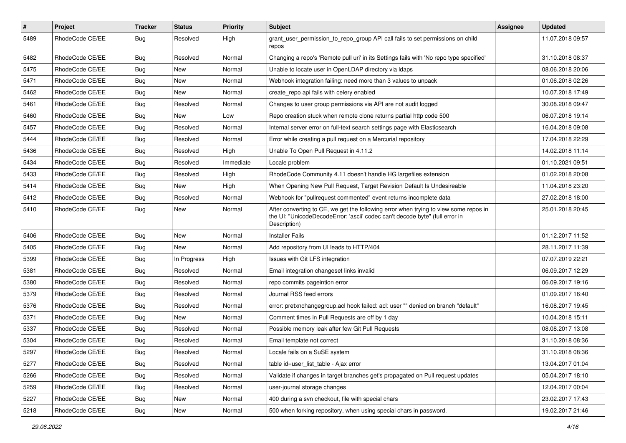| $\pmb{\#}$ | Project         | <b>Tracker</b> | <b>Status</b> | <b>Priority</b> | <b>Subject</b>                                                                                                                                                                       | <b>Assignee</b> | <b>Updated</b>   |
|------------|-----------------|----------------|---------------|-----------------|--------------------------------------------------------------------------------------------------------------------------------------------------------------------------------------|-----------------|------------------|
| 5489       | RhodeCode CE/EE | Bug            | Resolved      | High            | grant_user_permission_to_repo_group API call fails to set permissions on child<br>repos                                                                                              |                 | 11.07.2018 09:57 |
| 5482       | RhodeCode CE/EE | Bug            | Resolved      | Normal          | Changing a repo's 'Remote pull uri' in its Settings fails with 'No repo type specified'                                                                                              |                 | 31.10.2018 08:37 |
| 5475       | RhodeCode CE/EE | Bug            | New           | Normal          | Unable to locate user in OpenLDAP directory via Idaps                                                                                                                                |                 | 08.06.2018 20:06 |
| 5471       | RhodeCode CE/EE | Bug            | New           | Normal          | Webhook integration failing: need more than 3 values to unpack                                                                                                                       |                 | 01.06.2018 02:26 |
| 5462       | RhodeCode CE/EE | Bug            | <b>New</b>    | Normal          | create repo api fails with celery enabled                                                                                                                                            |                 | 10.07.2018 17:49 |
| 5461       | RhodeCode CE/EE | <b>Bug</b>     | Resolved      | Normal          | Changes to user group permissions via API are not audit logged                                                                                                                       |                 | 30.08.2018 09:47 |
| 5460       | RhodeCode CE/EE | Bug            | New           | Low             | Repo creation stuck when remote clone returns partial http code 500                                                                                                                  |                 | 06.07.2018 19:14 |
| 5457       | RhodeCode CE/EE | Bug            | Resolved      | Normal          | Internal server error on full-text search settings page with Elasticsearch                                                                                                           |                 | 16.04.2018 09:08 |
| 5444       | RhodeCode CE/EE | Bug            | Resolved      | Normal          | Error while creating a pull request on a Mercurial repository                                                                                                                        |                 | 17.04.2018 22:29 |
| 5436       | RhodeCode CE/EE | Bug            | Resolved      | High            | Unable To Open Pull Request in 4.11.2                                                                                                                                                |                 | 14.02.2018 11:14 |
| 5434       | RhodeCode CE/EE | Bug            | Resolved      | Immediate       | Locale problem                                                                                                                                                                       |                 | 01.10.2021 09:51 |
| 5433       | RhodeCode CE/EE | Bug            | Resolved      | High            | RhodeCode Community 4.11 doesn't handle HG largefiles extension                                                                                                                      |                 | 01.02.2018 20:08 |
| 5414       | RhodeCode CE/EE | Bug            | New           | High            | When Opening New Pull Request, Target Revision Default Is Undesireable                                                                                                               |                 | 11.04.2018 23:20 |
| 5412       | RhodeCode CE/EE | Bug            | Resolved      | Normal          | Webhook for "pullrequest commented" event returns incomplete data                                                                                                                    |                 | 27.02.2018 18:00 |
| 5410       | RhodeCode CE/EE | Bug            | New           | Normal          | After converting to CE, we get the following error when trying to view some repos in<br>the UI: "UnicodeDecodeError: 'ascii' codec can't decode byte" (full error in<br>Description) |                 | 25.01.2018 20:45 |
| 5406       | RhodeCode CE/EE | Bug            | New           | Normal          | <b>Installer Fails</b>                                                                                                                                                               |                 | 01.12.2017 11:52 |
| 5405       | RhodeCode CE/EE | Bug            | New           | Normal          | Add repository from UI leads to HTTP/404                                                                                                                                             |                 | 28.11.2017 11:39 |
| 5399       | RhodeCode CE/EE | Bug            | In Progress   | High            | Issues with Git LFS integration                                                                                                                                                      |                 | 07.07.2019 22:21 |
| 5381       | RhodeCode CE/EE | Bug            | Resolved      | Normal          | Email integration changeset links invalid                                                                                                                                            |                 | 06.09.2017 12:29 |
| 5380       | RhodeCode CE/EE | <b>Bug</b>     | Resolved      | Normal          | repo commits pageintion error                                                                                                                                                        |                 | 06.09.2017 19:16 |
| 5379       | RhodeCode CE/EE | Bug            | Resolved      | Normal          | Journal RSS feed errors                                                                                                                                                              |                 | 01.09.2017 16:40 |
| 5376       | RhodeCode CE/EE | <b>Bug</b>     | Resolved      | Normal          | error: pretxnchangegroup.acl hook failed: acl: user "" denied on branch "default"                                                                                                    |                 | 16.08.2017 19:45 |
| 5371       | RhodeCode CE/EE | Bug            | <b>New</b>    | Normal          | Comment times in Pull Requests are off by 1 day                                                                                                                                      |                 | 10.04.2018 15:11 |
| 5337       | RhodeCode CE/EE | Bug            | Resolved      | Normal          | Possible memory leak after few Git Pull Requests                                                                                                                                     |                 | 08.08.2017 13:08 |
| 5304       | RhodeCode CE/EE | Bug            | Resolved      | Normal          | Email template not correct                                                                                                                                                           |                 | 31.10.2018 08:36 |
| 5297       | RhodeCode CE/EE | Bug            | Resolved      | Normal          | Locale fails on a SuSE system                                                                                                                                                        |                 | 31.10.2018 08:36 |
| 5277       | RhodeCode CE/EE | Bug            | Resolved      | Normal          | table id=user list table - Ajax error                                                                                                                                                |                 | 13.04.2017 01:04 |
| 5266       | RhodeCode CE/EE | Bug            | Resolved      | Normal          | Validate if changes in target branches get's propagated on Pull request updates                                                                                                      |                 | 05.04.2017 18:10 |
| 5259       | RhodeCode CE/EE | Bug            | Resolved      | Normal          | user-journal storage changes                                                                                                                                                         |                 | 12.04.2017 00:04 |
| 5227       | RhodeCode CE/EE | Bug            | New           | Normal          | 400 during a svn checkout, file with special chars                                                                                                                                   |                 | 23.02.2017 17:43 |
| 5218       | RhodeCode CE/EE | <b>Bug</b>     | New           | Normal          | 500 when forking repository, when using special chars in password.                                                                                                                   |                 | 19.02.2017 21:46 |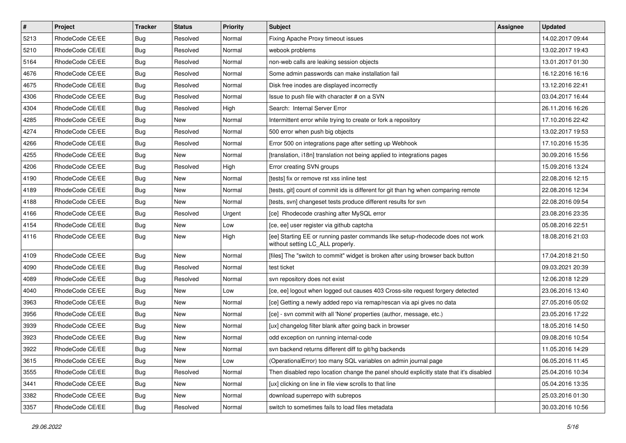| $\vert$ # | Project         | <b>Tracker</b> | <b>Status</b> | <b>Priority</b> | Subject                                                                                                            | <b>Assignee</b> | <b>Updated</b>   |
|-----------|-----------------|----------------|---------------|-----------------|--------------------------------------------------------------------------------------------------------------------|-----------------|------------------|
| 5213      | RhodeCode CE/EE | Bug            | Resolved      | Normal          | Fixing Apache Proxy timeout issues                                                                                 |                 | 14.02.2017 09:44 |
| 5210      | RhodeCode CE/EE | Bug            | Resolved      | Normal          | webook problems                                                                                                    |                 | 13.02.2017 19:43 |
| 5164      | RhodeCode CE/EE | Bug            | Resolved      | Normal          | non-web calls are leaking session objects                                                                          |                 | 13.01.2017 01:30 |
| 4676      | RhodeCode CE/EE | Bug            | Resolved      | Normal          | Some admin passwords can make installation fail                                                                    |                 | 16.12.2016 16:16 |
| 4675      | RhodeCode CE/EE | <b>Bug</b>     | Resolved      | Normal          | Disk free inodes are displayed incorrectly                                                                         |                 | 13.12.2016 22:41 |
| 4306      | RhodeCode CE/EE | Bug            | Resolved      | Normal          | Issue to push file with character # on a SVN                                                                       |                 | 03.04.2017 16:44 |
| 4304      | RhodeCode CE/EE | Bug            | Resolved      | High            | Search: Internal Server Error                                                                                      |                 | 26.11.2016 16:26 |
| 4285      | RhodeCode CE/EE | <b>Bug</b>     | New           | Normal          | Intermittent error while trying to create or fork a repository                                                     |                 | 17.10.2016 22:42 |
| 4274      | RhodeCode CE/EE | Bug            | Resolved      | Normal          | 500 error when push big objects                                                                                    |                 | 13.02.2017 19:53 |
| 4266      | RhodeCode CE/EE | <b>Bug</b>     | Resolved      | Normal          | Error 500 on integrations page after setting up Webhook                                                            |                 | 17.10.2016 15:35 |
| 4255      | RhodeCode CE/EE | Bug            | New           | Normal          | [translation, i18n] translation not being applied to integrations pages                                            |                 | 30.09.2016 15:56 |
| 4206      | RhodeCode CE/EE | <b>Bug</b>     | Resolved      | High            | Error creating SVN groups                                                                                          |                 | 15.09.2016 13:24 |
| 4190      | RhodeCode CE/EE | Bug            | <b>New</b>    | Normal          | [tests] fix or remove rst xss inline test                                                                          |                 | 22.08.2016 12:15 |
| 4189      | RhodeCode CE/EE | Bug            | New           | Normal          | [tests, git] count of commit ids is different for git than hg when comparing remote                                |                 | 22.08.2016 12:34 |
| 4188      | RhodeCode CE/EE | Bug            | <b>New</b>    | Normal          | [tests, svn] changeset tests produce different results for svn                                                     |                 | 22.08.2016 09:54 |
| 4166      | RhodeCode CE/EE | Bug            | Resolved      | Urgent          | [ce] Rhodecode crashing after MySQL error                                                                          |                 | 23.08.2016 23:35 |
| 4154      | RhodeCode CE/EE | Bug            | New           | Low             | [ce, ee] user register via github captcha                                                                          |                 | 05.08.2016 22:51 |
| 4116      | RhodeCode CE/EE | Bug            | <b>New</b>    | High            | [ee] Starting EE or running paster commands like setup-rhodecode does not work<br>without setting LC_ALL properly. |                 | 18.08.2016 21:03 |
| 4109      | RhodeCode CE/EE | Bug            | <b>New</b>    | Normal          | [files] The "switch to commit" widget is broken after using browser back button                                    |                 | 17.04.2018 21:50 |
| 4090      | RhodeCode CE/EE | Bug            | Resolved      | Normal          | test ticket                                                                                                        |                 | 09.03.2021 20:39 |
| 4089      | RhodeCode CE/EE | <b>Bug</b>     | Resolved      | Normal          | svn repository does not exist                                                                                      |                 | 12.06.2018 12:29 |
| 4040      | RhodeCode CE/EE | Bug            | <b>New</b>    | Low             | [ce, ee] logout when logged out causes 403 Cross-site request forgery detected                                     |                 | 23.06.2016 13:40 |
| 3963      | RhodeCode CE/EE | Bug            | New           | Normal          | [ce] Getting a newly added repo via remap/rescan via api gives no data                                             |                 | 27.05.2016 05:02 |
| 3956      | RhodeCode CE/EE | <b>Bug</b>     | New           | Normal          | [ce] - svn commit with all 'None' properties (author, message, etc.)                                               |                 | 23.05.2016 17:22 |
| 3939      | RhodeCode CE/EE | Bug            | <b>New</b>    | Normal          | [ux] changelog filter blank after going back in browser                                                            |                 | 18.05.2016 14:50 |
| 3923      | RhodeCode CE/EE | Bug            | New           | Normal          | odd exception on running internal-code                                                                             |                 | 09.08.2016 10:54 |
| 3922      | RhodeCode CE/EE | <b>Bug</b>     | New           | Normal          | syn backend returns different diff to git/hg backends                                                              |                 | 11.05.2016 14:29 |
| 3615      | RhodeCode CE/EE | Bug            | New           | Low             | (OperationalError) too many SQL variables on admin journal page                                                    |                 | 06.05.2016 11:45 |
| 3555      | RhodeCode CE/EE | <b>Bug</b>     | Resolved      | Normal          | Then disabled repo location change the panel should explicitly state that it's disabled                            |                 | 25.04.2016 10:34 |
| 3441      | RhodeCode CE/EE | <b>Bug</b>     | New           | Normal          | [ux] clicking on line in file view scrolls to that line                                                            |                 | 05.04.2016 13:35 |
| 3382      | RhodeCode CE/EE | <b>Bug</b>     | New           | Normal          | download superrepo with subrepos                                                                                   |                 | 25.03.2016 01:30 |
| 3357      | RhodeCode CE/EE | <b>Bug</b>     | Resolved      | Normal          | switch to sometimes fails to load files metadata                                                                   |                 | 30.03.2016 10:56 |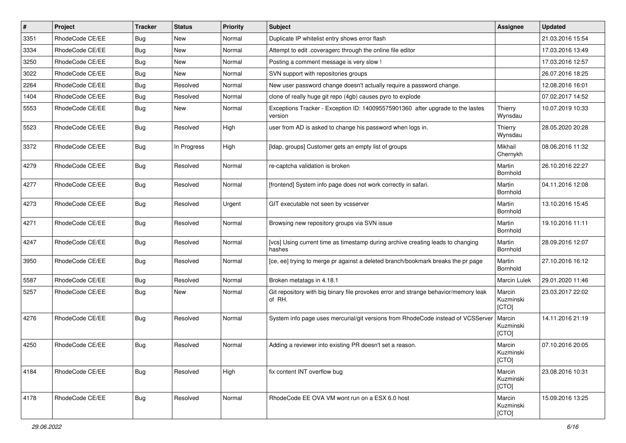| #    | Project         | <b>Tracker</b> | <b>Status</b> | <b>Priority</b> | <b>Subject</b>                                                                                | Assignee                     | <b>Updated</b>   |
|------|-----------------|----------------|---------------|-----------------|-----------------------------------------------------------------------------------------------|------------------------------|------------------|
| 3351 | RhodeCode CE/EE | Bug            | New           | Normal          | Duplicate IP whitelist entry shows error flash                                                |                              | 21.03.2016 15:54 |
| 3334 | RhodeCode CE/EE | Bug            | New           | Normal          | Attempt to edit .coveragerc through the online file editor                                    |                              | 17.03.2016 13:49 |
| 3250 | RhodeCode CE/EE | Bug            | New           | Normal          | Posting a comment message is very slow !                                                      |                              | 17.03.2016 12:57 |
| 3022 | RhodeCode CE/EE | Bug            | New           | Normal          | SVN support with repositories groups                                                          |                              | 26.07.2016 18:25 |
| 2264 | RhodeCode CE/EE | Bug            | Resolved      | Normal          | New user password change doesn't actually require a password change.                          |                              | 12.08.2016 16:01 |
| 1404 | RhodeCode CE/EE | Bug            | Resolved      | Normal          | clone of really huge git repo (4gb) causes pyro to explode                                    |                              | 07.02.2017 14:52 |
| 5553 | RhodeCode CE/EE | Bug            | New           | Normal          | Exceptions Tracker - Exception ID: 140095575901360 after upgrade to the lastes<br>version     | Thierry<br>Wynsdau           | 10.07.2019 10:33 |
| 5523 | RhodeCode CE/EE | Bug            | Resolved      | High            | user from AD is asked to change his password when logs in.                                    | Thierry<br>Wynsdau           | 28.05.2020 20:28 |
| 3372 | RhodeCode CE/EE | Bug            | In Progress   | High            | [Idap, groups] Customer gets an empty list of groups                                          | Mikhail<br>Chernykh          | 08.06.2016 11:32 |
| 4279 | RhodeCode CE/EE | Bug            | Resolved      | Normal          | re-captcha validation is broken                                                               | Martin<br>Bornhold           | 26.10.2016 22:27 |
| 4277 | RhodeCode CE/EE | Bug            | Resolved      | Normal          | [frontend] System info page does not work correctly in safari.                                | Martin<br><b>Bornhold</b>    | 04.11.2016 12:08 |
| 4273 | RhodeCode CE/EE | Bug            | Resolved      | Urgent          | GIT executable not seen by vcsserver                                                          | Martin<br>Bornhold           | 13.10.2016 15:45 |
| 4271 | RhodeCode CE/EE | Bug            | Resolved      | Normal          | Browsing new repository groups via SVN issue                                                  | Martin<br>Bornhold           | 19.10.2016 11:11 |
| 4247 | RhodeCode CE/EE | Bug            | Resolved      | Normal          | [vcs] Using current time as timestamp during archive creating leads to changing<br>hashes     | Martin<br>Bornhold           | 28.09.2016 12:07 |
| 3950 | RhodeCode CE/EE | Bug            | Resolved      | Normal          | [ce, ee] trying to merge pr against a deleted branch/bookmark breaks the pr page              | Martin<br><b>Bornhold</b>    | 27.10.2016 16:12 |
| 5587 | RhodeCode CE/EE | Bug            | Resolved      | Normal          | Broken metatags in 4.18.1                                                                     | Marcin Lulek                 | 29.01.2020 11:46 |
| 5257 | RhodeCode CE/EE | Bug            | New           | Normal          | Git repository with big binary file provokes error and strange behavior/memory leak<br>of RH. | Marcin<br>Kuzminski<br>[CTO] | 23.03.2017 22:02 |
| 4276 | RhodeCode CE/EE | Bug            | Resolved      | Normal          | System info page uses mercurial/git versions from RhodeCode instead of VCSServer              | Marcin<br>Kuzminski<br>[CTO] | 14.11.2016 21:19 |
| 4250 | RhodeCode CE/EE | Bug            | Resolved      | Normal          | Adding a reviewer into existing PR doesn't set a reason.                                      | Marcin<br>Kuzminski<br>[CTO] | 07.10.2016 20:05 |
| 4184 | RhodeCode CE/EE | Bug            | Resolved      | High            | fix content INT overflow bug                                                                  | Marcin<br>Kuzminski<br>[CTO] | 23.08.2016 10:31 |
| 4178 | RhodeCode CE/EE | Bug            | Resolved      | Normal          | RhodeCode EE OVA VM wont run on a ESX 6.0 host                                                | Marcin<br>Kuzminski<br>[CTO] | 15.09.2016 13:25 |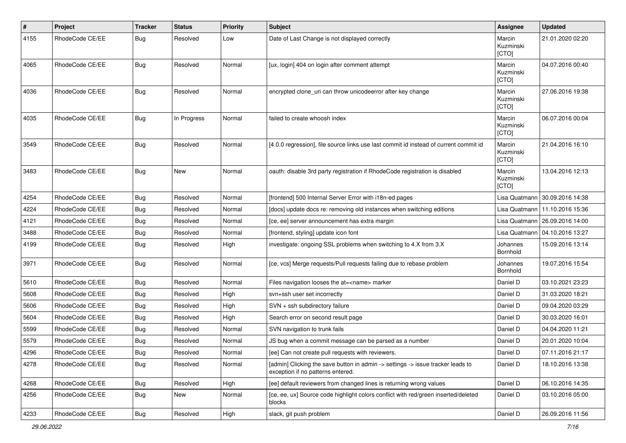| #    | Project         | <b>Tracker</b> | <b>Status</b> | <b>Priority</b> | <b>Subject</b>                                                                                                       | <b>Assignee</b>              | <b>Updated</b>                   |
|------|-----------------|----------------|---------------|-----------------|----------------------------------------------------------------------------------------------------------------------|------------------------------|----------------------------------|
| 4155 | RhodeCode CE/EE | Bug            | Resolved      | Low             | Date of Last Change is not displayed correctly                                                                       | Marcin<br>Kuzminski<br>[CTO] | 21.01.2020 02:20                 |
| 4065 | RhodeCode CE/EE | Bug            | Resolved      | Normal          | [ux, login] 404 on login after comment attempt                                                                       | Marcin<br>Kuzminski<br>[CTO] | 04.07.2016 00:40                 |
| 4036 | RhodeCode CE/EE | Bug            | Resolved      | Normal          | encrypted clone_uri can throw unicodeerror after key change                                                          | Marcin<br>Kuzminski<br>[CTO] | 27.06.2016 19:38                 |
| 4035 | RhodeCode CE/EE | Bug            | In Progress   | Normal          | failed to create whoosh index                                                                                        | Marcin<br>Kuzminski<br>[CTO] | 06.07.2016 00:04                 |
| 3549 | RhodeCode CE/EE | Bug            | Resolved      | Normal          | [4.0.0 regression], file source links use last commit id instead of current commit id                                | Marcin<br>Kuzminski<br>[CTO] | 21.04.2016 16:10                 |
| 3483 | RhodeCode CE/EE | Bug            | New           | Normal          | oauth: disable 3rd party registration if RhodeCode registration is disabled                                          | Marcin<br>Kuzminski<br>[CTO] | 13.04.2016 12:13                 |
| 4254 | RhodeCode CE/EE | Bug            | Resolved      | Normal          | [frontend] 500 Internal Server Error with i18n-ed pages                                                              |                              | Lisa Quatmann   30.09.2016 14:38 |
| 4224 | RhodeCode CE/EE | Bug            | Resolved      | Normal          | [docs] update docs re: removing old instances when switching editions                                                | Lisa Quatmann                | 11.10.2016 15:36                 |
| 4121 | RhodeCode CE/EE | Bug            | Resolved      | Normal          | [ce, ee] server announcement has extra margin                                                                        |                              | Lisa Quatmann   26.09.2016 14:00 |
| 3488 | RhodeCode CE/EE | Bug            | Resolved      | Normal          | [frontend, styling] update icon font                                                                                 | Lisa Quatmann                | 04.10.2016 13:27                 |
| 4199 | RhodeCode CE/EE | Bug            | Resolved      | High            | investigate: ongoing SSL problems when switching to 4.X from 3.X                                                     | Johannes<br>Bornhold         | 15.09.2016 13:14                 |
| 3971 | RhodeCode CE/EE | Bug            | Resolved      | Normal          | [ce, vcs] Merge requests/Pull requests failing due to rebase problem                                                 | Johannes<br>Bornhold         | 19.07.2016 15:54                 |
| 5610 | RhodeCode CE/EE | <b>Bug</b>     | Resolved      | Normal          | Files navigation looses the at= <name> marker</name>                                                                 | Daniel D                     | 03.10.2021 23:23                 |
| 5608 | RhodeCode CE/EE | Bug            | Resolved      | High            | svn+ssh user set incorrectly                                                                                         | Daniel D                     | 31.03.2020 18:21                 |
| 5606 | RhodeCode CE/EE | Bug            | Resolved      | High            | SVN + ssh subdirectory failure                                                                                       | Daniel D                     | 09.04.2020 03:29                 |
| 5604 | RhodeCode CE/EE | Bug            | Resolved      | High            | Search error on second result page                                                                                   | Daniel D                     | 30.03.2020 16:01                 |
| 5599 | RhodeCode CE/EE | Bug            | Resolved      | Normal          | SVN navigation to trunk fails                                                                                        | Daniel D                     | 04.04.2020 11:21                 |
| 5579 | RhodeCode CE/EE | Bug            | Resolved      | Normal          | JS bug when a commit message can be parsed as a number                                                               | Daniel D                     | 20.01.2020 10:04                 |
| 4296 | RhodeCode CE/EE | Bug            | Resolved      | Normal          | [ee] Can not create pull requests with reviewers.                                                                    | Daniel D                     | 07.11.2016 21:17                 |
| 4278 | RhodeCode CE/EE | Bug            | Resolved      | Normal          | [admin] Clicking the save button in admin -> settings -> issue tracker leads to<br>exception if no patterns entered. | Daniel D                     | 18.10.2016 13:38                 |
| 4268 | RhodeCode CE/EE | <b>Bug</b>     | Resolved      | High            | [ee] default reviewers from changed lines is returning wrong values                                                  | Daniel D                     | 06.10.2016 14:35                 |
| 4256 | RhodeCode CE/EE | Bug            | New           | Normal          | [ce, ee, ux] Source code highlight colors conflict with red/green inserted/deleted<br>blocks                         | Daniel D                     | 03.10.2016 05:00                 |
| 4233 | RhodeCode CE/EE | <b>Bug</b>     | Resolved      | High            | slack, git push problem                                                                                              | Daniel D                     | 26.09.2016 11:56                 |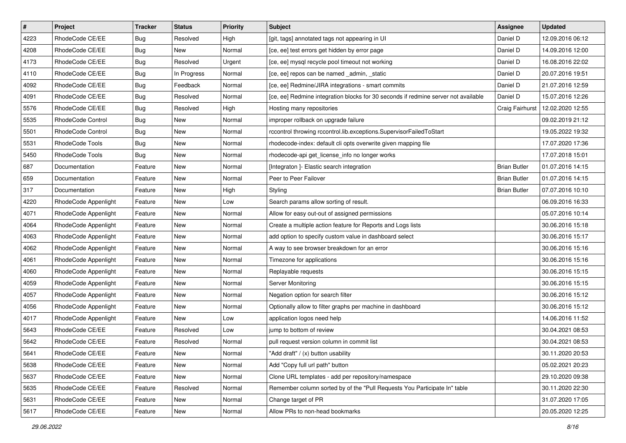| $\pmb{\#}$ | Project                  | <b>Tracker</b> | <b>Status</b> | <b>Priority</b> | <b>Subject</b>                                                                     | <b>Assignee</b>     | <b>Updated</b>   |
|------------|--------------------------|----------------|---------------|-----------------|------------------------------------------------------------------------------------|---------------------|------------------|
| 4223       | RhodeCode CE/EE          | <b>Bug</b>     | Resolved      | High            | [git, tags] annotated tags not appearing in UI                                     | Daniel D            | 12.09.2016 06:12 |
| 4208       | RhodeCode CE/EE          | Bug            | New           | Normal          | [ce, ee] test errors get hidden by error page                                      | Daniel D            | 14.09.2016 12:00 |
| 4173       | RhodeCode CE/EE          | Bug            | Resolved      | Urgent          | [ce, ee] mysql recycle pool timeout not working                                    | Daniel D            | 16.08.2016 22:02 |
| 4110       | RhodeCode CE/EE          | <b>Bug</b>     | In Progress   | Normal          | [ce, ee] repos can be named _admin, _static                                        | Daniel D            | 20.07.2016 19:51 |
| 4092       | RhodeCode CE/EE          | Bug            | Feedback      | Normal          | [ce, ee] Redmine/JIRA integrations - smart commits                                 | Daniel D            | 21.07.2016 12:59 |
| 4091       | RhodeCode CE/EE          | <b>Bug</b>     | Resolved      | Normal          | [ce, ee] Redmine integration blocks for 30 seconds if redmine server not available | Daniel D            | 15.07.2016 12:26 |
| 5576       | RhodeCode CE/EE          | Bug            | Resolved      | High            | Hosting many repositories                                                          | Craig Fairhurst     | 12.02.2020 12:55 |
| 5535       | RhodeCode Control        | Bug            | New           | Normal          | improper rollback on upgrade failure                                               |                     | 09.02.2019 21:12 |
| 5501       | <b>RhodeCode Control</b> | <b>Bug</b>     | New           | Normal          | rccontrol throwing rccontrol.lib.exceptions.SupervisorFailedToStart                |                     | 19.05.2022 19:32 |
| 5531       | RhodeCode Tools          | Bug            | New           | Normal          | rhodecode-index: default cli opts overwrite given mapping file                     |                     | 17.07.2020 17:36 |
| 5450       | RhodeCode Tools          | Bug            | New           | Normal          | rhodecode-api get_license_info no longer works                                     |                     | 17.07.2018 15:01 |
| 687        | Documentation            | Feature        | New           | Normal          | [Integraton ]- Elastic search integration                                          | <b>Brian Butler</b> | 01.07.2016 14:15 |
| 659        | Documentation            | Feature        | New           | Normal          | Peer to Peer Failover                                                              | <b>Brian Butler</b> | 01.07.2016 14:15 |
| 317        | Documentation            | Feature        | New           | High            | Styling                                                                            | <b>Brian Butler</b> | 07.07.2016 10:10 |
| 4220       | RhodeCode Appenlight     | Feature        | New           | Low             | Search params allow sorting of result.                                             |                     | 06.09.2016 16:33 |
| 4071       | RhodeCode Appenlight     | Feature        | New           | Normal          | Allow for easy out-out of assigned permissions                                     |                     | 05.07.2016 10:14 |
| 4064       | RhodeCode Appenlight     | Feature        | New           | Normal          | Create a multiple action feature for Reports and Logs lists                        |                     | 30.06.2016 15:18 |
| 4063       | RhodeCode Appenlight     | Feature        | New           | Normal          | add option to specify custom value in dashboard select                             |                     | 30.06.2016 15:17 |
| 4062       | RhodeCode Appenlight     | Feature        | New           | Normal          | A way to see browser breakdown for an error                                        |                     | 30.06.2016 15:16 |
| 4061       | RhodeCode Appenlight     | Feature        | New           | Normal          | Timezone for applications                                                          |                     | 30.06.2016 15:16 |
| 4060       | RhodeCode Appenlight     | Feature        | New           | Normal          | Replayable requests                                                                |                     | 30.06.2016 15:15 |
| 4059       | RhodeCode Appenlight     | Feature        | New           | Normal          | Server Monitoring                                                                  |                     | 30.06.2016 15:15 |
| 4057       | RhodeCode Appenlight     | Feature        | <b>New</b>    | Normal          | Negation option for search filter                                                  |                     | 30.06.2016 15:12 |
| 4056       | RhodeCode Appenlight     | Feature        | New           | Normal          | Optionally allow to filter graphs per machine in dashboard                         |                     | 30.06.2016 15:12 |
| 4017       | RhodeCode Appenlight     | Feature        | New           | Low             | application logos need help                                                        |                     | 14.06.2016 11:52 |
| 5643       | RhodeCode CE/EE          | Feature        | Resolved      | Low             | jump to bottom of review                                                           |                     | 30.04.2021 08:53 |
| 5642       | RhodeCode CE/EE          | Feature        | Resolved      | Normal          | pull request version column in commit list                                         |                     | 30.04.2021 08:53 |
| 5641       | RhodeCode CE/EE          | Feature        | New           | Normal          | "Add draft" / (x) button usability                                                 |                     | 30.11.2020 20:53 |
| 5638       | RhodeCode CE/EE          | Feature        | New           | Normal          | Add "Copy full url path" button                                                    |                     | 05.02.2021 20:23 |
| 5637       | RhodeCode CE/EE          | Feature        | New           | Normal          | Clone URL templates - add per repository/namespace                                 |                     | 29.10.2020 09:38 |
| 5635       | RhodeCode CE/EE          | Feature        | Resolved      | Normal          | Remember column sorted by of the "Pull Requests You Participate In" table          |                     | 30.11.2020 22:30 |
| 5631       | RhodeCode CE/EE          | Feature        | New           | Normal          | Change target of PR                                                                |                     | 31.07.2020 17:05 |
| 5617       | RhodeCode CE/EE          | Feature        | New           | Normal          | Allow PRs to non-head bookmarks                                                    |                     | 20.05.2020 12:25 |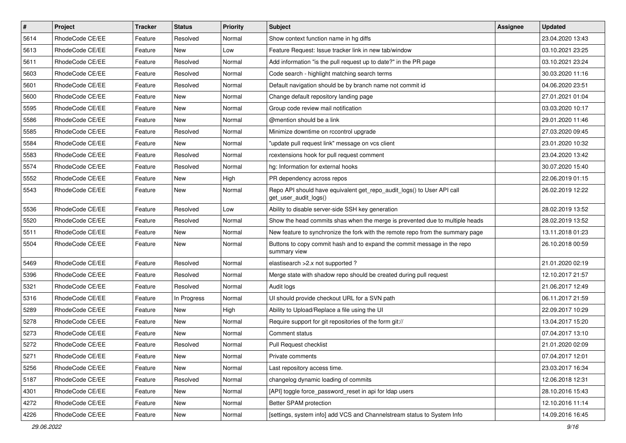| $\vert$ # | Project         | <b>Tracker</b> | <b>Status</b> | <b>Priority</b> | <b>Subject</b>                                                                                  | <b>Assignee</b> | <b>Updated</b>   |
|-----------|-----------------|----------------|---------------|-----------------|-------------------------------------------------------------------------------------------------|-----------------|------------------|
| 5614      | RhodeCode CE/EE | Feature        | Resolved      | Normal          | Show context function name in hg diffs                                                          |                 | 23.04.2020 13:43 |
| 5613      | RhodeCode CE/EE | Feature        | <b>New</b>    | Low             | Feature Request: Issue tracker link in new tab/window                                           |                 | 03.10.2021 23:25 |
| 5611      | RhodeCode CE/EE | Feature        | Resolved      | Normal          | Add information "is the pull request up to date?" in the PR page                                |                 | 03.10.2021 23:24 |
| 5603      | RhodeCode CE/EE | Feature        | Resolved      | Normal          | Code search - highlight matching search terms                                                   |                 | 30.03.2020 11:16 |
| 5601      | RhodeCode CE/EE | Feature        | Resolved      | Normal          | Default navigation should be by branch name not commit id                                       |                 | 04.06.2020 23:51 |
| 5600      | RhodeCode CE/EE | Feature        | New           | Normal          | Change default repository landing page                                                          |                 | 27.01.2021 01:04 |
| 5595      | RhodeCode CE/EE | Feature        | New           | Normal          | Group code review mail notification                                                             |                 | 03.03.2020 10:17 |
| 5586      | RhodeCode CE/EE | Feature        | New           | Normal          | @mention should be a link                                                                       |                 | 29.01.2020 11:46 |
| 5585      | RhodeCode CE/EE | Feature        | Resolved      | Normal          | Minimize downtime on rccontrol upgrade                                                          |                 | 27.03.2020 09:45 |
| 5584      | RhodeCode CE/EE | Feature        | New           | Normal          | "update pull request link" message on vcs client                                                |                 | 23.01.2020 10:32 |
| 5583      | RhodeCode CE/EE | Feature        | Resolved      | Normal          | rcextensions hook for pull request comment                                                      |                 | 23.04.2020 13:42 |
| 5574      | RhodeCode CE/EE | Feature        | Resolved      | Normal          | hg: Information for external hooks                                                              |                 | 30.07.2020 15:40 |
| 5552      | RhodeCode CE/EE | Feature        | New           | High            | PR dependency across repos                                                                      |                 | 22.06.2019 01:15 |
| 5543      | RhodeCode CE/EE | Feature        | New           | Normal          | Repo API should have equivalent get_repo_audit_logs() to User API call<br>get_user_audit_logs() |                 | 26.02.2019 12:22 |
| 5536      | RhodeCode CE/EE | Feature        | Resolved      | Low             | Ability to disable server-side SSH key generation                                               |                 | 28.02.2019 13:52 |
| 5520      | RhodeCode CE/EE | Feature        | Resolved      | Normal          | Show the head commits shas when the merge is prevented due to multiple heads                    |                 | 28.02.2019 13:52 |
| 5511      | RhodeCode CE/EE | Feature        | New           | Normal          | New feature to synchronize the fork with the remote repo from the summary page                  |                 | 13.11.2018 01:23 |
| 5504      | RhodeCode CE/EE | Feature        | New           | Normal          | Buttons to copy commit hash and to expand the commit message in the repo<br>summary view        |                 | 26.10.2018 00:59 |
| 5469      | RhodeCode CE/EE | Feature        | Resolved      | Normal          | elastisearch > 2.x not supported?                                                               |                 | 21.01.2020 02:19 |
| 5396      | RhodeCode CE/EE | Feature        | Resolved      | Normal          | Merge state with shadow repo should be created during pull request                              |                 | 12.10.2017 21:57 |
| 5321      | RhodeCode CE/EE | Feature        | Resolved      | Normal          | Audit logs                                                                                      |                 | 21.06.2017 12:49 |
| 5316      | RhodeCode CE/EE | Feature        | In Progress   | Normal          | UI should provide checkout URL for a SVN path                                                   |                 | 06.11.2017 21:59 |
| 5289      | RhodeCode CE/EE | Feature        | New           | High            | Ability to Upload/Replace a file using the UI                                                   |                 | 22.09.2017 10:29 |
| 5278      | RhodeCode CE/EE | Feature        | New           | Normal          | Require support for git repositories of the form git://                                         |                 | 13.04.2017 15:20 |
| 5273      | RhodeCode CE/EE | Feature        | New           | Normal          | Comment status                                                                                  |                 | 07.04.2017 13:10 |
| 5272      | RhodeCode CE/EE | Feature        | Resolved      | Normal          | Pull Request checklist                                                                          |                 | 21.01.2020 02:09 |
| 5271      | RhodeCode CE/EE | Feature        | New           | Normal          | Private comments                                                                                |                 | 07.04.2017 12:01 |
| 5256      | RhodeCode CE/EE | Feature        | New           | Normal          | Last repository access time.                                                                    |                 | 23.03.2017 16:34 |
| 5187      | RhodeCode CE/EE | Feature        | Resolved      | Normal          | changelog dynamic loading of commits                                                            |                 | 12.06.2018 12:31 |
| 4301      | RhodeCode CE/EE | Feature        | New           | Normal          | [API] toggle force password reset in api for Idap users                                         |                 | 28.10.2016 15:43 |
| 4272      | RhodeCode CE/EE | Feature        | New           | Normal          | Better SPAM protection                                                                          |                 | 12.10.2016 11:14 |
| 4226      | RhodeCode CE/EE | Feature        | New           | Normal          | [settings, system info] add VCS and Channelstream status to System Info                         |                 | 14.09.2016 16:45 |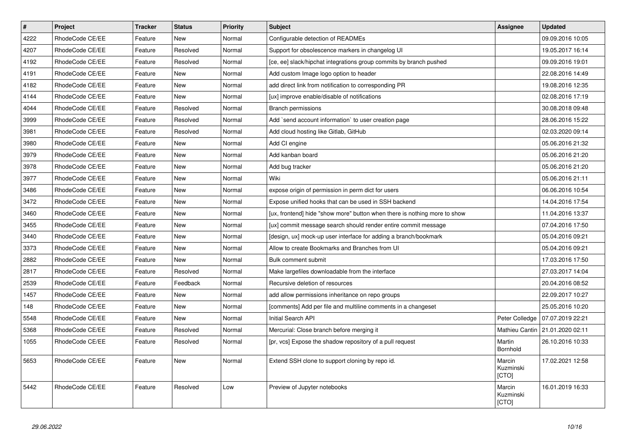| $\pmb{\#}$ | Project         | <b>Tracker</b> | <b>Status</b> | <b>Priority</b> | <b>Subject</b>                                                            | Assignee                     | <b>Updated</b>                    |
|------------|-----------------|----------------|---------------|-----------------|---------------------------------------------------------------------------|------------------------------|-----------------------------------|
| 4222       | RhodeCode CE/EE | Feature        | New           | Normal          | Configurable detection of READMEs                                         |                              | 09.09.2016 10:05                  |
| 4207       | RhodeCode CE/EE | Feature        | Resolved      | Normal          | Support for obsolescence markers in changelog UI                          |                              | 19.05.2017 16:14                  |
| 4192       | RhodeCode CE/EE | Feature        | Resolved      | Normal          | [ce, ee] slack/hipchat integrations group commits by branch pushed        |                              | 09.09.2016 19:01                  |
| 4191       | RhodeCode CE/EE | Feature        | <b>New</b>    | Normal          | Add custom Image logo option to header                                    |                              | 22.08.2016 14:49                  |
| 4182       | RhodeCode CE/EE | Feature        | <b>New</b>    | Normal          | add direct link from notification to corresponding PR                     |                              | 19.08.2016 12:35                  |
| 4144       | RhodeCode CE/EE | Feature        | <b>New</b>    | Normal          | [ux] improve enable/disable of notifications                              |                              | 02.08.2016 17:19                  |
| 4044       | RhodeCode CE/EE | Feature        | Resolved      | Normal          | Branch permissions                                                        |                              | 30.08.2018 09:48                  |
| 3999       | RhodeCode CE/EE | Feature        | Resolved      | Normal          | Add `send account information` to user creation page                      |                              | 28.06.2016 15:22                  |
| 3981       | RhodeCode CE/EE | Feature        | Resolved      | Normal          | Add cloud hosting like Gitlab, GitHub                                     |                              | 02.03.2020 09:14                  |
| 3980       | RhodeCode CE/EE | Feature        | <b>New</b>    | Normal          | Add CI engine                                                             |                              | 05.06.2016 21:32                  |
| 3979       | RhodeCode CE/EE | Feature        | <b>New</b>    | Normal          | Add kanban board                                                          |                              | 05.06.2016 21:20                  |
| 3978       | RhodeCode CE/EE | Feature        | <b>New</b>    | Normal          | Add bug tracker                                                           |                              | 05.06.2016 21:20                  |
| 3977       | RhodeCode CE/EE | Feature        | <b>New</b>    | Normal          | Wiki                                                                      |                              | 05.06.2016 21:11                  |
| 3486       | RhodeCode CE/EE | Feature        | <b>New</b>    | Normal          | expose origin of permission in perm dict for users                        |                              | 06.06.2016 10:54                  |
| 3472       | RhodeCode CE/EE | Feature        | <b>New</b>    | Normal          | Expose unified hooks that can be used in SSH backend                      |                              | 14.04.2016 17:54                  |
| 3460       | RhodeCode CE/EE | Feature        | <b>New</b>    | Normal          | [ux, frontend] hide "show more" button when there is nothing more to show |                              | 11.04.2016 13:37                  |
| 3455       | RhodeCode CE/EE | Feature        | <b>New</b>    | Normal          | [ux] commit message search should render entire commit message            |                              | 07.04.2016 17:50                  |
| 3440       | RhodeCode CE/EE | Feature        | <b>New</b>    | Normal          | [design, ux] mock-up user interface for adding a branch/bookmark          |                              | 05.04.2016 09:21                  |
| 3373       | RhodeCode CE/EE | Feature        | New           | Normal          | Allow to create Bookmarks and Branches from UI                            |                              | 05.04.2016 09:21                  |
| 2882       | RhodeCode CE/EE | Feature        | <b>New</b>    | Normal          | Bulk comment submit                                                       |                              | 17.03.2016 17:50                  |
| 2817       | RhodeCode CE/EE | Feature        | Resolved      | Normal          | Make largefiles downloadable from the interface                           |                              | 27.03.2017 14:04                  |
| 2539       | RhodeCode CE/EE | Feature        | Feedback      | Normal          | Recursive deletion of resources                                           |                              | 20.04.2016 08:52                  |
| 1457       | RhodeCode CE/EE | Feature        | <b>New</b>    | Normal          | add allow permissions inheritance on repo groups                          |                              | 22.09.2017 10:27                  |
| 148        | RhodeCode CE/EE | Feature        | <b>New</b>    | Normal          | [comments] Add per file and multiline comments in a changeset             |                              | 25.05.2016 10:20                  |
| 5548       | RhodeCode CE/EE | Feature        | <b>New</b>    | Normal          | <b>Initial Search API</b>                                                 | Peter Colledge               | 07.07.2019 22:21                  |
| 5368       | RhodeCode CE/EE | Feature        | Resolved      | Normal          | Mercurial: Close branch before merging it                                 |                              | Mathieu Cantin   21.01.2020 02:11 |
| 1055       | RhodeCode CE/EE | Feature        | Resolved      | Normal          | [pr, vcs] Expose the shadow repository of a pull request                  | Martin<br>Bornhold           | 26.10.2016 10:33                  |
| 5653       | RhodeCode CE/EE | Feature        | New           | Normal          | Extend SSH clone to support cloning by repo id.                           | Marcin<br>Kuzminski<br>[CTO] | 17.02.2021 12:58                  |
| 5442       | RhodeCode CE/EE | Feature        | Resolved      | Low             | Preview of Jupyter notebooks                                              | Marcin<br>Kuzminski<br>[CTO] | 16.01.2019 16:33                  |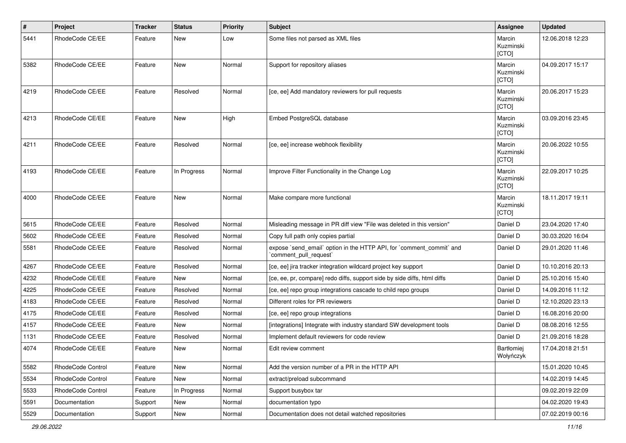| $\pmb{\#}$ | Project           | <b>Tracker</b> | <b>Status</b> | <b>Priority</b> | <b>Subject</b>                                                                                 | Assignee                       | <b>Updated</b>   |
|------------|-------------------|----------------|---------------|-----------------|------------------------------------------------------------------------------------------------|--------------------------------|------------------|
| 5441       | RhodeCode CE/EE   | Feature        | <b>New</b>    | Low             | Some files not parsed as XML files                                                             | Marcin<br>Kuzminski<br>[CTO]   | 12.06.2018 12:23 |
| 5382       | RhodeCode CE/EE   | Feature        | <b>New</b>    | Normal          | Support for repository aliases                                                                 | Marcin<br>Kuzminski<br>[CTO]   | 04.09.2017 15:17 |
| 4219       | RhodeCode CE/EE   | Feature        | Resolved      | Normal          | [ce, ee] Add mandatory reviewers for pull requests                                             | Marcin<br>Kuzminski<br>[CTO]   | 20.06.2017 15:23 |
| 4213       | RhodeCode CE/EE   | Feature        | <b>New</b>    | High            | Embed PostgreSQL database                                                                      | Marcin<br>Kuzminski<br>[CTO]   | 03.09.2016 23:45 |
| 4211       | RhodeCode CE/EE   | Feature        | Resolved      | Normal          | [ce, ee] increase webhook flexibility                                                          | Marcin<br>Kuzminski<br>[CTO]   | 20.06.2022 10:55 |
| 4193       | RhodeCode CE/EE   | Feature        | In Progress   | Normal          | Improve Filter Functionality in the Change Log                                                 | Marcin<br>Kuzminski<br>[CTO]   | 22.09.2017 10:25 |
| 4000       | RhodeCode CE/EE   | Feature        | <b>New</b>    | Normal          | Make compare more functional                                                                   | Marcin<br>Kuzminski<br>[CTO]   | 18.11.2017 19:11 |
| 5615       | RhodeCode CE/EE   | Feature        | Resolved      | Normal          | Misleading message in PR diff view "File was deleted in this version"                          | Daniel D                       | 23.04.2020 17:40 |
| 5602       | RhodeCode CE/EE   | Feature        | Resolved      | Normal          | Copy full path only copies partial                                                             | Daniel D                       | 30.03.2020 16:04 |
| 5581       | RhodeCode CE/EE   | Feature        | Resolved      | Normal          | expose `send_email` option in the HTTP API, for `comment_commit` and<br>`comment_pull_request` | Daniel D                       | 29.01.2020 11:46 |
| 4267       | RhodeCode CE/EE   | Feature        | Resolved      | Normal          | [ce, ee] jira tracker integration wildcard project key support                                 | Daniel D                       | 10.10.2016 20:13 |
| 4232       | RhodeCode CE/EE   | Feature        | New           | Normal          | [ce, ee, pr, compare] redo diffs, support side by side diffs, html diffs                       | Daniel D                       | 25.10.2016 15:40 |
| 4225       | RhodeCode CE/EE   | Feature        | Resolved      | Normal          | [ce, ee] repo group integrations cascade to child repo groups                                  | Daniel D                       | 14.09.2016 11:12 |
| 4183       | RhodeCode CE/EE   | Feature        | Resolved      | Normal          | Different roles for PR reviewers                                                               | Daniel D                       | 12.10.2020 23:13 |
| 4175       | RhodeCode CE/EE   | Feature        | Resolved      | Normal          | [ce, ee] repo group integrations                                                               | Daniel D                       | 16.08.2016 20:00 |
| 4157       | RhodeCode CE/EE   | Feature        | New           | Normal          | [integrations] Integrate with industry standard SW development tools                           | Daniel D                       | 08.08.2016 12:55 |
| 1131       | RhodeCode CE/EE   | Feature        | Resolved      | Normal          | Implement default reviewers for code review                                                    | Daniel D                       | 21.09.2016 18:28 |
| 4074       | RhodeCode CE/EE   | Feature        | <b>New</b>    | Normal          | Edit review comment                                                                            | <b>Bartłomiej</b><br>Wołyńczyk | 17.04.2018 21:51 |
| 5582       | RhodeCode Control | Feature        | New           | Normal          | Add the version number of a PR in the HTTP API                                                 |                                | 15.01.2020 10:45 |
| 5534       | RhodeCode Control | Feature        | New           | Normal          | extract/preload subcommand                                                                     |                                | 14.02.2019 14:45 |
| 5533       | RhodeCode Control | Feature        | In Progress   | Normal          | Support busybox tar                                                                            |                                | 09.02.2019 22:09 |
| 5591       | Documentation     | Support        | New           | Normal          | documentation typo                                                                             |                                | 04.02.2020 19:43 |
| 5529       | Documentation     | Support        | New           | Normal          | Documentation does not detail watched repositories                                             |                                | 07.02.2019 00:16 |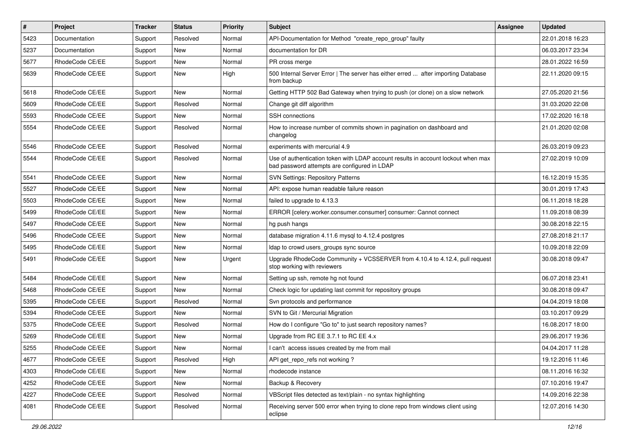| $\sharp$ | Project         | <b>Tracker</b> | <b>Status</b> | Priority | <b>Subject</b>                                                                                                                    | <b>Assignee</b> | <b>Updated</b>   |
|----------|-----------------|----------------|---------------|----------|-----------------------------------------------------------------------------------------------------------------------------------|-----------------|------------------|
| 5423     | Documentation   | Support        | Resolved      | Normal   | API-Documentation for Method "create repo group" faulty                                                                           |                 | 22.01.2018 16:23 |
| 5237     | Documentation   | Support        | <b>New</b>    | Normal   | documentation for DR                                                                                                              |                 | 06.03.2017 23:34 |
| 5677     | RhodeCode CE/EE | Support        | New           | Normal   | PR cross merge                                                                                                                    |                 | 28.01.2022 16:59 |
| 5639     | RhodeCode CE/EE | Support        | New           | High     | 500 Internal Server Error   The server has either erred  after importing Database<br>from backup                                  |                 | 22.11.2020 09:15 |
| 5618     | RhodeCode CE/EE | Support        | <b>New</b>    | Normal   | Getting HTTP 502 Bad Gateway when trying to push (or clone) on a slow network                                                     |                 | 27.05.2020 21:56 |
| 5609     | RhodeCode CE/EE | Support        | Resolved      | Normal   | Change git diff algorithm                                                                                                         |                 | 31.03.2020 22:08 |
| 5593     | RhodeCode CE/EE | Support        | <b>New</b>    | Normal   | SSH connections                                                                                                                   |                 | 17.02.2020 16:18 |
| 5554     | RhodeCode CE/EE | Support        | Resolved      | Normal   | How to increase number of commits shown in pagination on dashboard and<br>changelog                                               |                 | 21.01.2020 02:08 |
| 5546     | RhodeCode CE/EE | Support        | Resolved      | Normal   | experiments with mercurial 4.9                                                                                                    |                 | 26.03.2019 09:23 |
| 5544     | RhodeCode CE/EE | Support        | Resolved      | Normal   | Use of authentication token with LDAP account results in account lockout when max<br>bad password attempts are configured in LDAP |                 | 27.02.2019 10:09 |
| 5541     | RhodeCode CE/EE | Support        | <b>New</b>    | Normal   | <b>SVN Settings: Repository Patterns</b>                                                                                          |                 | 16.12.2019 15:35 |
| 5527     | RhodeCode CE/EE | Support        | New           | Normal   | API: expose human readable failure reason                                                                                         |                 | 30.01.2019 17:43 |
| 5503     | RhodeCode CE/EE | Support        | <b>New</b>    | Normal   | failed to upgrade to 4.13.3                                                                                                       |                 | 06.11.2018 18:28 |
| 5499     | RhodeCode CE/EE | Support        | <b>New</b>    | Normal   | ERROR [celery.worker.consumer.consumer] consumer: Cannot connect                                                                  |                 | 11.09.2018 08:39 |
| 5497     | RhodeCode CE/EE | Support        | New           | Normal   | hg push hangs                                                                                                                     |                 | 30.08.2018 22:15 |
| 5496     | RhodeCode CE/EE | Support        | New           | Normal   | database migration 4.11.6 mysql to 4.12.4 postgres                                                                                |                 | 27.08.2018 21:17 |
| 5495     | RhodeCode CE/EE | Support        | New           | Normal   | Idap to crowd users groups sync source                                                                                            |                 | 10.09.2018 22:09 |
| 5491     | RhodeCode CE/EE | Support        | <b>New</b>    | Urgent   | Upgrade RhodeCode Community + VCSSERVER from 4.10.4 to 4.12.4, pull request<br>stop working with reviewers                        |                 | 30.08.2018 09:47 |
| 5484     | RhodeCode CE/EE | Support        | <b>New</b>    | Normal   | Setting up ssh, remote hg not found                                                                                               |                 | 06.07.2018 23:41 |
| 5468     | RhodeCode CE/EE | Support        | <b>New</b>    | Normal   | Check logic for updating last commit for repository groups                                                                        |                 | 30.08.2018 09:47 |
| 5395     | RhodeCode CE/EE | Support        | Resolved      | Normal   | Svn protocols and performance                                                                                                     |                 | 04.04.2019 18:08 |
| 5394     | RhodeCode CE/EE | Support        | <b>New</b>    | Normal   | SVN to Git / Mercurial Migration                                                                                                  |                 | 03.10.2017 09:29 |
| 5375     | RhodeCode CE/EE | Support        | Resolved      | Normal   | How do I configure "Go to" to just search repository names?                                                                       |                 | 16.08.2017 18:00 |
| 5269     | RhodeCode CE/EE | Support        | New           | Normal   | Upgrade from RC EE 3.7.1 to RC EE 4.x                                                                                             |                 | 29.06.2017 19:36 |
| 5255     | RhodeCode CE/EE | Support        | New           | Normal   | I can't access issues created by me from mail                                                                                     |                 | 04.04.2017 11:28 |
| 4677     | RhodeCode CE/EE | Support        | Resolved      | High     | API get_repo_refs not working?                                                                                                    |                 | 19.12.2016 11:46 |
| 4303     | RhodeCode CE/EE | Support        | New           | Normal   | rhodecode instance                                                                                                                |                 | 08.11.2016 16:32 |
| 4252     | RhodeCode CE/EE | Support        | New           | Normal   | Backup & Recovery                                                                                                                 |                 | 07.10.2016 19:47 |
| 4227     | RhodeCode CE/EE | Support        | Resolved      | Normal   | VBScript files detected as text/plain - no syntax highlighting                                                                    |                 | 14.09.2016 22:38 |
| 4081     | RhodeCode CE/EE | Support        | Resolved      | Normal   | Receiving server 500 error when trying to clone repo from windows client using<br>eclipse                                         |                 | 12.07.2016 14:30 |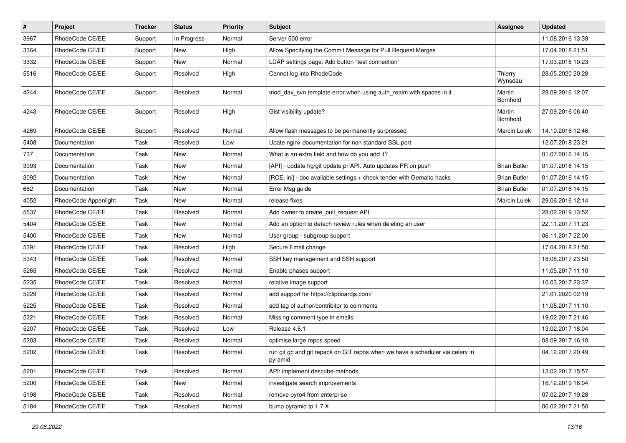| $\vert$ # | Project              | <b>Tracker</b> | <b>Status</b> | <b>Priority</b> | <b>Subject</b>                                                                           | <b>Assignee</b>     | <b>Updated</b>   |
|-----------|----------------------|----------------|---------------|-----------------|------------------------------------------------------------------------------------------|---------------------|------------------|
| 3967      | RhodeCode CE/EE      | Support        | In Progress   | Normal          | Server 500 error                                                                         |                     | 11.08.2016 13:39 |
| 3364      | RhodeCode CE/EE      | Support        | <b>New</b>    | High            | Allow Specifying the Commit Message for Pull Request Merges                              |                     | 17.04.2018 21:51 |
| 3332      | RhodeCode CE/EE      | Support        | New           | Normal          | LDAP settings page: Add button "test connection"                                         |                     | 17.03.2016 10:23 |
| 5516      | RhodeCode CE/EE      | Support        | Resolved      | High            | Cannot log into RhodeCode                                                                | Thierry<br>Wynsdau  | 28.05.2020 20:28 |
| 4244      | RhodeCode CE/EE      | Support        | Resolved      | Normal          | mod_dav_svn template error when using auth_realm with spaces in it                       | Martin<br>Bornhold  | 28.09.2016 12:07 |
| 4243      | RhodeCode CE/EE      | Support        | Resolved      | High            | Gist visibility update?                                                                  | Martin<br>Bornhold  | 27.09.2016 06:40 |
| 4269      | RhodeCode CE/EE      | Support        | Resolved      | Normal          | Allow flash messages to be permanently surpressed                                        | Marcin Lulek        | 14.10.2016 12:46 |
| 5408      | Documentation        | Task           | Resolved      | Low             | Upate nginx documentation for non standard SSL port                                      |                     | 12.07.2018 23:21 |
| 737       | Documentation        | Task           | New           | Normal          | What is an extra field and how do you add it?                                            |                     | 01.07.2016 14:15 |
| 3093      | Documentation        | Task           | <b>New</b>    | Normal          | [API] - update hg/git update pr API. Auto updates PR on push                             | <b>Brian Butler</b> | 01.07.2016 14:15 |
| 3092      | Documentation        | Task           | New           | Normal          | [RCE, ini] - doc available settings + check tender with Gemalto hacks                    | <b>Brian Butler</b> | 01.07.2016 14:15 |
| 682       | Documentation        | Task           | New           | Normal          | Error Msg guide                                                                          | <b>Brian Butler</b> | 01.07.2016 14:15 |
| 4052      | RhodeCode Appenlight | Task           | New           | Normal          | release fixes                                                                            | <b>Marcin Lulek</b> | 29.06.2016 12:14 |
| 5537      | RhodeCode CE/EE      | Task           | Resolved      | Normal          | Add owner to create_pull_request API                                                     |                     | 28.02.2019 13:52 |
| 5404      | RhodeCode CE/EE      | Task           | <b>New</b>    | Normal          | Add an option to detach review rules when deleting an user                               |                     | 22.11.2017 11:23 |
| 5400      | RhodeCode CE/EE      | Task           | New           | Normal          | User group - subgroup support                                                            |                     | 06.11.2017 22:00 |
| 5391      | RhodeCode CE/EE      | Task           | Resolved      | High            | Secure Email change                                                                      |                     | 17.04.2018 21:50 |
| 5343      | RhodeCode CE/EE      | Task           | Resolved      | Normal          | SSH key management and SSH support                                                       |                     | 18.08.2017 23:50 |
| 5265      | RhodeCode CE/EE      | Task           | Resolved      | Normal          | Enable phases support                                                                    |                     | 11.05.2017 11:10 |
| 5235      | RhodeCode CE/EE      | Task           | Resolved      | Normal          | relative image support                                                                   |                     | 10.03.2017 23:37 |
| 5229      | RhodeCode CE/EE      | Task           | Resolved      | Normal          | add support for https://clipboardjs.com/                                                 |                     | 21.01.2020 02:19 |
| 5225      | RhodeCode CE/EE      | Task           | Resolved      | Normal          | add tag of author/contribitor to comments                                                |                     | 11.05.2017 11:10 |
| 5221      | RhodeCode CE/EE      | Task           | Resolved      | Normal          | Missing comment type in emails                                                           |                     | 19.02.2017 21:46 |
| 5207      | RhodeCode CE/EE      | Task           | Resolved      | Low             | Release 4.6.1                                                                            |                     | 13.02.2017 18:04 |
| 5203      | RhodeCode CE/EE      | Task           | Resolved      | Normal          | optimise large repos speed                                                               |                     | 08.09.2017 16:10 |
| 5202      | RhodeCode CE/EE      | Task           | Resolved      | Normal          | run git gc and git repack on GIT repos when we have a scheduler via celery in<br>pyramid |                     | 04.12.2017 20:49 |
| 5201      | RhodeCode CE/EE      | Task           | Resolved      | Normal          | API: implement describe-methods                                                          |                     | 13.02.2017 15:57 |
| 5200      | RhodeCode CE/EE      | Task           | New           | Normal          | investigate search improvements                                                          |                     | 16.12.2019 16:04 |
| 5198      | RhodeCode CE/EE      | Task           | Resolved      | Normal          | remove pyro4 from enterprise                                                             |                     | 07.02.2017 19:28 |
| 5184      | RhodeCode CE/EE      | Task           | Resolved      | Normal          | bump pyramid to 1.7.X                                                                    |                     | 06.02.2017 21:50 |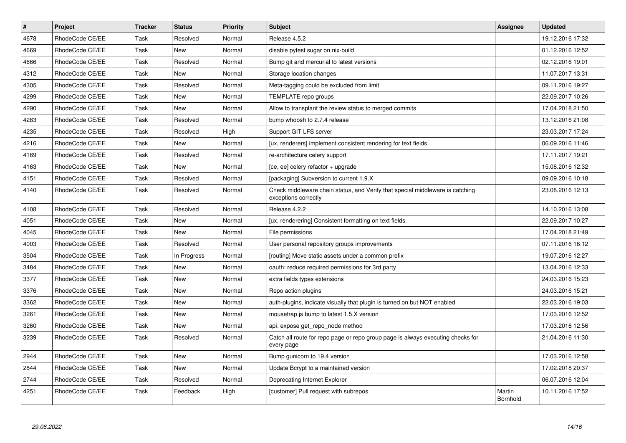| $\pmb{\#}$ | <b>Project</b>  | <b>Tracker</b> | <b>Status</b> | <b>Priority</b> | <b>Subject</b>                                                                                        | Assignee           | <b>Updated</b>   |
|------------|-----------------|----------------|---------------|-----------------|-------------------------------------------------------------------------------------------------------|--------------------|------------------|
| 4678       | RhodeCode CE/EE | Task           | Resolved      | Normal          | Release 4.5.2                                                                                         |                    | 19.12.2016 17:32 |
| 4669       | RhodeCode CE/EE | Task           | <b>New</b>    | Normal          | disable pytest sugar on nix-build                                                                     |                    | 01.12.2016 12:52 |
| 4666       | RhodeCode CE/EE | Task           | Resolved      | Normal          | Bump git and mercurial to latest versions                                                             |                    | 02.12.2016 19:01 |
| 4312       | RhodeCode CE/EE | Task           | <b>New</b>    | Normal          | Storage location changes                                                                              |                    | 11.07.2017 13:31 |
| 4305       | RhodeCode CE/EE | Task           | Resolved      | Normal          | Meta-tagging could be excluded from limit                                                             |                    | 09.11.2016 19:27 |
| 4299       | RhodeCode CE/EE | Task           | <b>New</b>    | Normal          | TEMPLATE repo groups                                                                                  |                    | 22.09.2017 10:26 |
| 4290       | RhodeCode CE/EE | Task           | New           | Normal          | Allow to transplant the review status to merged commits                                               |                    | 17.04.2018 21:50 |
| 4283       | RhodeCode CE/EE | Task           | Resolved      | Normal          | bump whoosh to 2.7.4 release                                                                          |                    | 13.12.2016 21:08 |
| 4235       | RhodeCode CE/EE | Task           | Resolved      | High            | Support GIT LFS server                                                                                |                    | 23.03.2017 17:24 |
| 4216       | RhodeCode CE/EE | Task           | New           | Normal          | [ux, renderers] implement consistent rendering for text fields                                        |                    | 06.09.2016 11:46 |
| 4169       | RhodeCode CE/EE | Task           | Resolved      | Normal          | re-architecture celery support                                                                        |                    | 17.11.2017 19:21 |
| 4163       | RhodeCode CE/EE | Task           | New           | Normal          | [ce, ee] celery refactor + upgrade                                                                    |                    | 15.08.2016 12:32 |
| 4151       | RhodeCode CE/EE | Task           | Resolved      | Normal          | [packaging] Subversion to current 1.9.X                                                               |                    | 09.09.2016 10:18 |
| 4140       | RhodeCode CE/EE | Task           | Resolved      | Normal          | Check middleware chain status, and Verify that special middleware is catching<br>exceptions correctly |                    | 23.08.2016 12:13 |
| 4108       | RhodeCode CE/EE | Task           | Resolved      | Normal          | Release 4.2.2                                                                                         |                    | 14.10.2016 13:08 |
| 4051       | RhodeCode CE/EE | Task           | New           | Normal          | [ux, renderering] Consistent formatting on text fields.                                               |                    | 22.09.2017 10:27 |
| 4045       | RhodeCode CE/EE | Task           | <b>New</b>    | Normal          | File permissions                                                                                      |                    | 17.04.2018 21:49 |
| 4003       | RhodeCode CE/EE | Task           | Resolved      | Normal          | User personal repository groups improvements                                                          |                    | 07.11.2016 16:12 |
| 3504       | RhodeCode CE/EE | Task           | In Progress   | Normal          | [routing] Move static assets under a common prefix                                                    |                    | 19.07.2016 12:27 |
| 3484       | RhodeCode CE/EE | Task           | New           | Normal          | oauth: reduce required permissions for 3rd party                                                      |                    | 13.04.2016 12:33 |
| 3377       | RhodeCode CE/EE | Task           | <b>New</b>    | Normal          | extra fields types extensions                                                                         |                    | 24.03.2016 15:23 |
| 3376       | RhodeCode CE/EE | Task           | <b>New</b>    | Normal          | Repo action plugins                                                                                   |                    | 24.03.2016 15:21 |
| 3362       | RhodeCode CE/EE | Task           | <b>New</b>    | Normal          | auth-plugins, indicate visually that plugin is turned on but NOT enabled                              |                    | 22.03.2016 19:03 |
| 3261       | RhodeCode CE/EE | Task           | New           | Normal          | mousetrap.js bump to latest 1.5.X version                                                             |                    | 17.03.2016 12:52 |
| 3260       | RhodeCode CE/EE | Task           | New           | Normal          | api: expose get repo node method                                                                      |                    | 17.03.2016 12:56 |
| 3239       | RhodeCode CE/EE | Task           | Resolved      | Normal          | Catch all route for repo page or repo group page is always executing checks for<br>every page         |                    | 21.04.2016 11:30 |
| 2944       | RhodeCode CE/EE | Task           | <b>New</b>    | Normal          | Bump gunicorn to 19.4 version                                                                         |                    | 17.03.2016 12:58 |
| 2844       | RhodeCode CE/EE | Task           | <b>New</b>    | Normal          | Update Bcrypt to a maintained version                                                                 |                    | 17.02.2018 20:37 |
| 2744       | RhodeCode CE/EE | Task           | Resolved      | Normal          | Deprecating Internet Explorer                                                                         |                    | 06.07.2016 12:04 |
| 4251       | RhodeCode CE/EE | Task           | Feedback      | High            | [customer] Pull request with subrepos                                                                 | Martin<br>Bornhold | 10.11.2016 17:52 |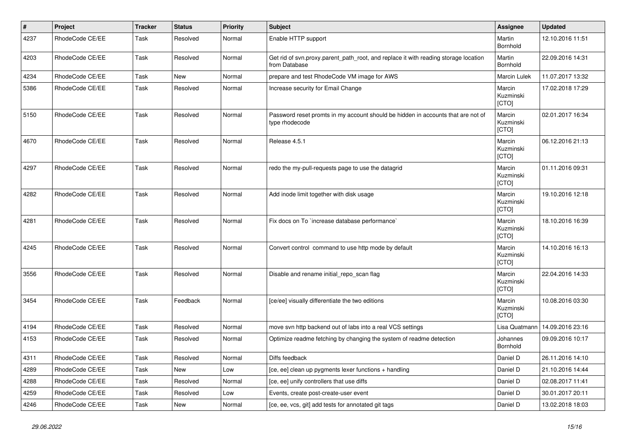| $\vert$ # | Project         | <b>Tracker</b> | <b>Status</b> | <b>Priority</b> | <b>Subject</b>                                                                                       | Assignee                            | <b>Updated</b>   |
|-----------|-----------------|----------------|---------------|-----------------|------------------------------------------------------------------------------------------------------|-------------------------------------|------------------|
| 4237      | RhodeCode CE/EE | Task           | Resolved      | Normal          | Enable HTTP support                                                                                  | Martin<br>Bornhold                  | 12.10.2016 11:51 |
| 4203      | RhodeCode CE/EE | Task           | Resolved      | Normal          | Get rid of svn.proxy.parent_path_root, and replace it with reading storage location<br>from Database | Martin<br>Bornhold                  | 22.09.2016 14:31 |
| 4234      | RhodeCode CE/EE | Task           | <b>New</b>    | Normal          | prepare and test RhodeCode VM image for AWS                                                          | Marcin Lulek                        | 11.07.2017 13:32 |
| 5386      | RhodeCode CE/EE | Task           | Resolved      | Normal          | Increase security for Email Change                                                                   | Marcin<br>Kuzminski<br>[CTO]        | 17.02.2018 17:29 |
| 5150      | RhodeCode CE/EE | Task           | Resolved      | Normal          | Password reset promts in my account should be hidden in accounts that are not of<br>type rhodecode   | Marcin<br>Kuzminski<br>[CTO]        | 02.01.2017 16:34 |
| 4670      | RhodeCode CE/EE | Task           | Resolved      | Normal          | Release 4.5.1                                                                                        | Marcin<br>Kuzminski<br>[CTO]        | 06.12.2016 21:13 |
| 4297      | RhodeCode CE/EE | Task           | Resolved      | Normal          | redo the my-pull-requests page to use the datagrid                                                   | Marcin<br>Kuzminski<br><b>[CTO]</b> | 01.11.2016 09:31 |
| 4282      | RhodeCode CE/EE | <b>Task</b>    | Resolved      | Normal          | Add inode limit together with disk usage                                                             | Marcin<br>Kuzminski<br>[CTO]        | 19.10.2016 12:18 |
| 4281      | RhodeCode CE/EE | Task           | Resolved      | Normal          | Fix docs on To `increase database performance`                                                       | Marcin<br>Kuzminski<br>[CTO]        | 18.10.2016 16:39 |
| 4245      | RhodeCode CE/EE | Task           | Resolved      | Normal          | Convert control command to use http mode by default                                                  | Marcin<br>Kuzminski<br>[CTO]        | 14.10.2016 16:13 |
| 3556      | RhodeCode CE/EE | <b>Task</b>    | Resolved      | Normal          | Disable and rename initial repo scan flag                                                            | Marcin<br>Kuzminski<br>[CTO]        | 22.04.2016 14:33 |
| 3454      | RhodeCode CE/EE | Task           | Feedback      | Normal          | [ce/ee] visually differentiate the two editions                                                      | Marcin<br>Kuzminski<br><b>[CTO]</b> | 10.08.2016 03:30 |
| 4194      | RhodeCode CE/EE | <b>Task</b>    | Resolved      | Normal          | move svn http backend out of labs into a real VCS settings                                           | Lisa Quatmann                       | 14.09.2016 23:16 |
| 4153      | RhodeCode CE/EE | Task           | Resolved      | Normal          | Optimize readme fetching by changing the system of readme detection                                  | Johannes<br>Bornhold                | 09.09.2016 10:17 |
| 4311      | RhodeCode CE/EE | Task           | Resolved      | Normal          | Diffs feedback                                                                                       | Daniel D                            | 26.11.2016 14:10 |
| 4289      | RhodeCode CE/EE | Task           | <b>New</b>    | Low             | [ce, ee] clean up pygments lexer functions + handling                                                | Daniel D                            | 21.10.2016 14:44 |
| 4288      | RhodeCode CE/EE | Task           | Resolved      | Normal          | [ce, ee] unify controllers that use diffs                                                            | Daniel D                            | 02.08.2017 11:41 |
| 4259      | RhodeCode CE/EE | Task           | Resolved      | Low             | Events, create post-create-user event                                                                | Daniel D                            | 30.01.2017 20:11 |
| 4246      | RhodeCode CE/EE | Task           | New           | Normal          | [ce, ee, vcs, git] add tests for annotated git tags                                                  | Daniel D                            | 13.02.2018 18:03 |